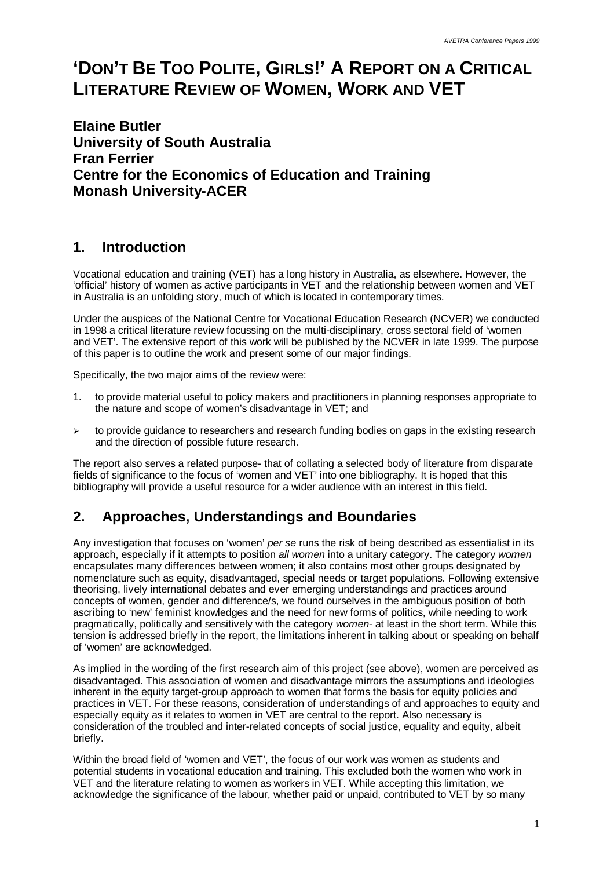# **'DON'T BE TOO POLITE, GIRLS!' A REPORT ON A CRITICAL LITERATURE REVIEW OF WOMEN, WORK AND VET**

**Elaine Butler University of South Australia Fran Ferrier Centre for the Economics of Education and Training Monash University-ACER**

# **1. Introduction**

Vocational education and training (VET) has a long history in Australia, as elsewhere. However, the 'official' history of women as active participants in VET and the relationship between women and VET in Australia is an unfolding story, much of which is located in contemporary times.

Under the auspices of the National Centre for Vocational Education Research (NCVER) we conducted in 1998 a critical literature review focussing on the multi-disciplinary, cross sectoral field of 'women and VET'. The extensive report of this work will be published by the NCVER in late 1999. The purpose of this paper is to outline the work and present some of our major findings.

Specifically, the two major aims of the review were:

- 1. to provide material useful to policy makers and practitioners in planning responses appropriate to the nature and scope of women's disadvantage in VET; and
- $\geq$  to provide guidance to researchers and research funding bodies on gaps in the existing research and the direction of possible future research.

The report also serves a related purpose- that of collating a selected body of literature from disparate fields of significance to the focus of 'women and VET' into one bibliography. It is hoped that this bibliography will provide a useful resource for a wider audience with an interest in this field.

# **2. Approaches, Understandings and Boundaries**

Any investigation that focuses on 'women' *per se* runs the risk of being described as essentialist in its approach, especially if it attempts to position *all women* into a unitary category. The category *women* encapsulates many differences between women; it also contains most other groups designated by nomenclature such as equity, disadvantaged, special needs or target populations. Following extensive theorising, lively international debates and ever emerging understandings and practices around concepts of women, gender and difference/s, we found ourselves in the ambiguous position of both ascribing to 'new' feminist knowledges and the need for new forms of politics, while needing to work pragmatically, politically and sensitively with the category *women*- at least in the short term. While this tension is addressed briefly in the report, the limitations inherent in talking about or speaking on behalf of 'women' are acknowledged.

As implied in the wording of the first research aim of this project (see above), women are perceived as disadvantaged. This association of women and disadvantage mirrors the assumptions and ideologies inherent in the equity target-group approach to women that forms the basis for equity policies and practices in VET. For these reasons, consideration of understandings of and approaches to equity and especially equity as it relates to women in VET are central to the report. Also necessary is consideration of the troubled and inter-related concepts of social justice, equality and equity, albeit briefly.

Within the broad field of 'women and VET', the focus of our work was women as students and potential students in vocational education and training. This excluded both the women who work in VET and the literature relating to women as workers in VET. While accepting this limitation, we acknowledge the significance of the labour, whether paid or unpaid, contributed to VET by so many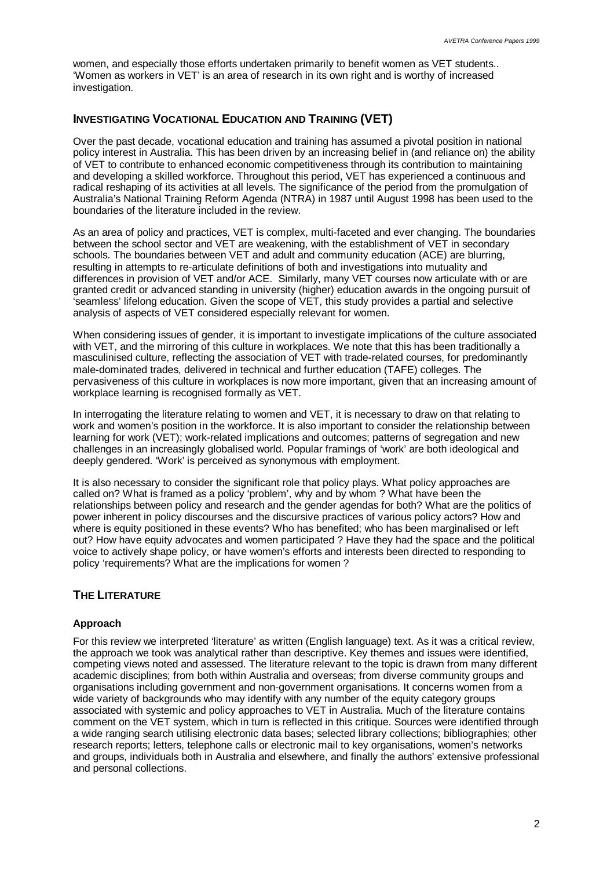women, and especially those efforts undertaken primarily to benefit women as VET students.. 'Women as workers in VET' is an area of research in its own right and is worthy of increased investigation.

# **INVESTIGATING VOCATIONAL EDUCATION AND TRAINING (VET)**

Over the past decade, vocational education and training has assumed a pivotal position in national policy interest in Australia. This has been driven by an increasing belief in (and reliance on) the ability of VET to contribute to enhanced economic competitiveness through its contribution to maintaining and developing a skilled workforce. Throughout this period, VET has experienced a continuous and radical reshaping of its activities at all levels. The significance of the period from the promulgation of Australia's National Training Reform Agenda (NTRA) in 1987 until August 1998 has been used to the boundaries of the literature included in the review.

As an area of policy and practices, VET is complex, multi-faceted and ever changing. The boundaries between the school sector and VET are weakening, with the establishment of VET in secondary schools. The boundaries between VET and adult and community education (ACE) are blurring, resulting in attempts to re-articulate definitions of both and investigations into mutuality and differences in provision of VET and/or ACE. Similarly, many VET courses now articulate with or are granted credit or advanced standing in university (higher) education awards in the ongoing pursuit of 'seamless' lifelong education. Given the scope of VET, this study provides a partial and selective analysis of aspects of VET considered especially relevant for women.

When considering issues of gender, it is important to investigate implications of the culture associated with VET, and the mirroring of this culture in workplaces. We note that this has been traditionally a masculinised culture, reflecting the association of VET with trade-related courses, for predominantly male-dominated trades, delivered in technical and further education (TAFE) colleges. The pervasiveness of this culture in workplaces is now more important, given that an increasing amount of workplace learning is recognised formally as VET.

In interrogating the literature relating to women and VET, it is necessary to draw on that relating to work and women's position in the workforce. It is also important to consider the relationship between learning for work (VET); work-related implications and outcomes; patterns of segregation and new challenges in an increasingly globalised world. Popular framings of 'work' are both ideological and deeply gendered. 'Work' is perceived as synonymous with employment.

It is also necessary to consider the significant role that policy plays. What policy approaches are called on? What is framed as a policy 'problem', why and by whom ? What have been the relationships between policy and research and the gender agendas for both? What are the politics of power inherent in policy discourses and the discursive practices of various policy actors? How and where is equity positioned in these events? Who has benefited; who has been marginalised or left out? How have equity advocates and women participated ? Have they had the space and the political voice to actively shape policy, or have women's efforts and interests been directed to responding to policy 'requirements? What are the implications for women ?

# **THE LITERATURE**

# **Approach**

For this review we interpreted 'literature' as written (English language) text. As it was a critical review, the approach we took was analytical rather than descriptive. Key themes and issues were identified, competing views noted and assessed. The literature relevant to the topic is drawn from many different academic disciplines; from both within Australia and overseas; from diverse community groups and organisations including government and non-government organisations. It concerns women from a wide variety of backgrounds who may identify with any number of the equity category groups associated with systemic and policy approaches to VET in Australia. Much of the literature contains comment on the VET system, which in turn is reflected in this critique. Sources were identified through a wide ranging search utilising electronic data bases; selected library collections; bibliographies; other research reports; letters, telephone calls or electronic mail to key organisations, women's networks and groups, individuals both in Australia and elsewhere, and finally the authors' extensive professional and personal collections.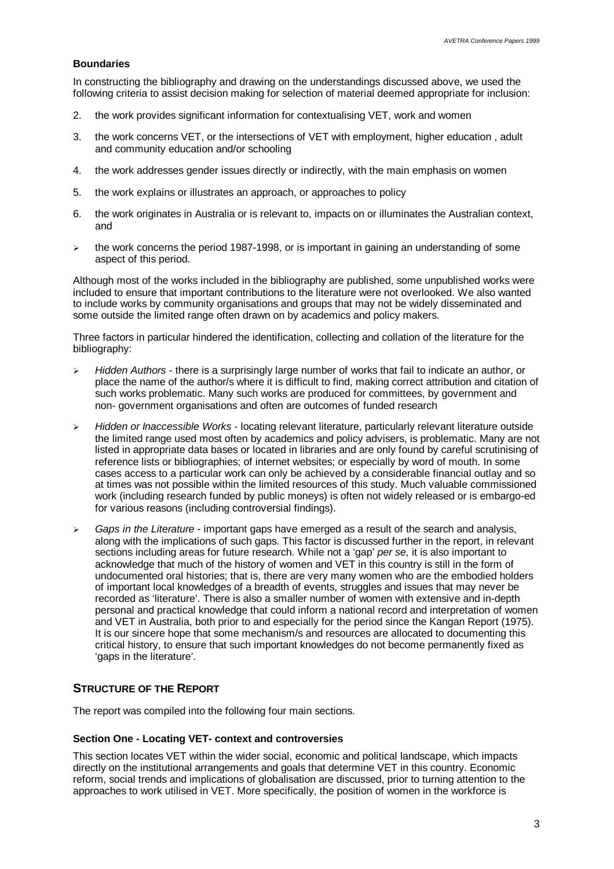### **Boundaries**

In constructing the bibliography and drawing on the understandings discussed above, we used the following criteria to assist decision making for selection of material deemed appropriate for inclusion:

- 2. the work provides significant information for contextualising VET, work and women
- 3. the work concerns VET, or the intersections of VET with employment, higher education , adult and community education and/or schooling
- 4. the work addresses gender issues directly or indirectly, with the main emphasis on women
- 5. the work explains or illustrates an approach, or approaches to policy
- 6. the work originates in Australia or is relevant to, impacts on or illuminates the Australian context, and
- $\geq$  the work concerns the period 1987-1998, or is important in gaining an understanding of some aspect of this period.

Although most of the works included in the bibliography are published, some unpublished works were included to ensure that important contributions to the literature were not overlooked. We also wanted to include works by community organisations and groups that may not be widely disseminated and some outside the limited range often drawn on by academics and policy makers.

Three factors in particular hindered the identification, collecting and collation of the literature for the bibliography:

- ÿ *Hidden Authors* there is a surprisingly large number of works that fail to indicate an author, or place the name of the author/s where it is difficult to find, making correct attribution and citation of such works problematic. Many such works are produced for committees, by government and non- government organisations and often are outcomes of funded research
- ÿ *Hidden or Inaccessible Works* locating relevant literature, particularly relevant literature outside the limited range used most often by academics and policy advisers, is problematic. Many are not listed in appropriate data bases or located in libraries and are only found by careful scrutinising of reference lists or bibliographies; of internet websites; or especially by word of mouth. In some cases access to a particular work can only be achieved by a considerable financial outlay and so at times was not possible within the limited resources of this study. Much valuable commissioned work (including research funded by public moneys) is often not widely released or is embargo-ed for various reasons (including controversial findings).
- ÿ *Gaps in the Literature* important gaps have emerged as a result of the search and analysis, along with the implications of such gaps. This factor is discussed further in the report, in relevant sections including areas for future research. While not a 'gap' *per se,* it is also important to acknowledge that much of the history of women and VET in this country is still in the form of undocumented oral histories; that is, there are very many women who are the embodied holders of important local knowledges of a breadth of events, struggles and issues that may never be recorded as 'literature'. There is also a smaller number of women with extensive and in-depth personal and practical knowledge that could inform a national record and interpretation of women and VET in Australia, both prior to and especially for the period since the Kangan Report (1975). It is our sincere hope that some mechanism/s and resources are allocated to documenting this critical history, to ensure that such important knowledges do not become permanently fixed as 'gaps in the literature'.

### **STRUCTURE OF THE REPORT**

The report was compiled into the following four main sections.

#### **Section One - Locating VET- context and controversies**

This section locates VET within the wider social, economic and political landscape, which impacts directly on the institutional arrangements and goals that determine VET in this country. Economic reform, social trends and implications of globalisation are discussed, prior to turning attention to the approaches to work utilised in VET. More specifically, the position of women in the workforce is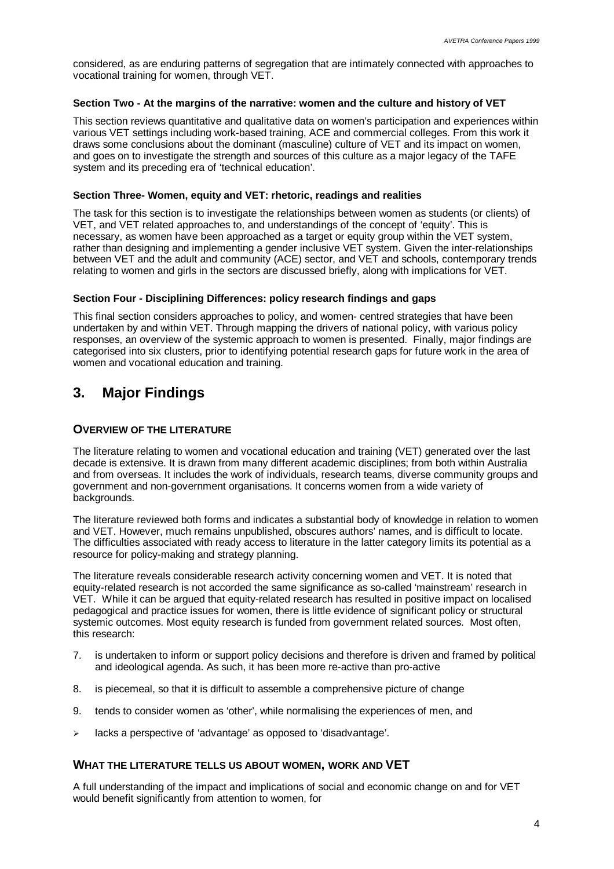considered, as are enduring patterns of segregation that are intimately connected with approaches to vocational training for women, through VET.

# **Section Two - At the margins of the narrative: women and the culture and history of VET**

This section reviews quantitative and qualitative data on women's participation and experiences within various VET settings including work-based training, ACE and commercial colleges. From this work it draws some conclusions about the dominant (masculine) culture of VET and its impact on women, and goes on to investigate the strength and sources of this culture as a major legacy of the TAFE system and its preceding era of 'technical education'.

# **Section Three- Women, equity and VET: rhetoric, readings and realities**

The task for this section is to investigate the relationships between women as students (or clients) of VET, and VET related approaches to, and understandings of the concept of 'equity'. This is necessary, as women have been approached as a target or equity group within the VET system, rather than designing and implementing a gender inclusive VET system. Given the inter-relationships between VET and the adult and community (ACE) sector, and VET and schools, contemporary trends relating to women and girls in the sectors are discussed briefly, along with implications for VET.

# **Section Four - Disciplining Differences: policy research findings and gaps**

This final section considers approaches to policy, and women- centred strategies that have been undertaken by and within VET. Through mapping the drivers of national policy, with various policy responses, an overview of the systemic approach to women is presented. Finally, major findings are categorised into six clusters, prior to identifying potential research gaps for future work in the area of women and vocational education and training.

# **3. Major Findings**

# **OVERVIEW OF THE LITERATURE**

The literature relating to women and vocational education and training (VET) generated over the last decade is extensive. It is drawn from many different academic disciplines; from both within Australia and from overseas. It includes the work of individuals, research teams, diverse community groups and government and non-government organisations. It concerns women from a wide variety of backgrounds.

The literature reviewed both forms and indicates a substantial body of knowledge in relation to women and VET. However, much remains unpublished, obscures authors' names, and is difficult to locate. The difficulties associated with ready access to literature in the latter category limits its potential as a resource for policy-making and strategy planning.

The literature reveals considerable research activity concerning women and VET. It is noted that equity-related research is not accorded the same significance as so-called 'mainstream' research in VET. While it can be argued that equity-related research has resulted in positive impact on localised pedagogical and practice issues for women, there is little evidence of significant policy or structural systemic outcomes. Most equity research is funded from government related sources. Most often, this research:

- 7. is undertaken to inform or support policy decisions and therefore is driven and framed by political and ideological agenda. As such, it has been more re-active than pro-active
- 8. is piecemeal, so that it is difficult to assemble a comprehensive picture of change
- 9. tends to consider women as 'other', while normalising the experiences of men, and
- $\geq$  lacks a perspective of 'advantage' as opposed to 'disadvantage'.

# **WHAT THE LITERATURE TELLS US ABOUT WOMEN, WORK AND VET**

A full understanding of the impact and implications of social and economic change on and for VET would benefit significantly from attention to women, for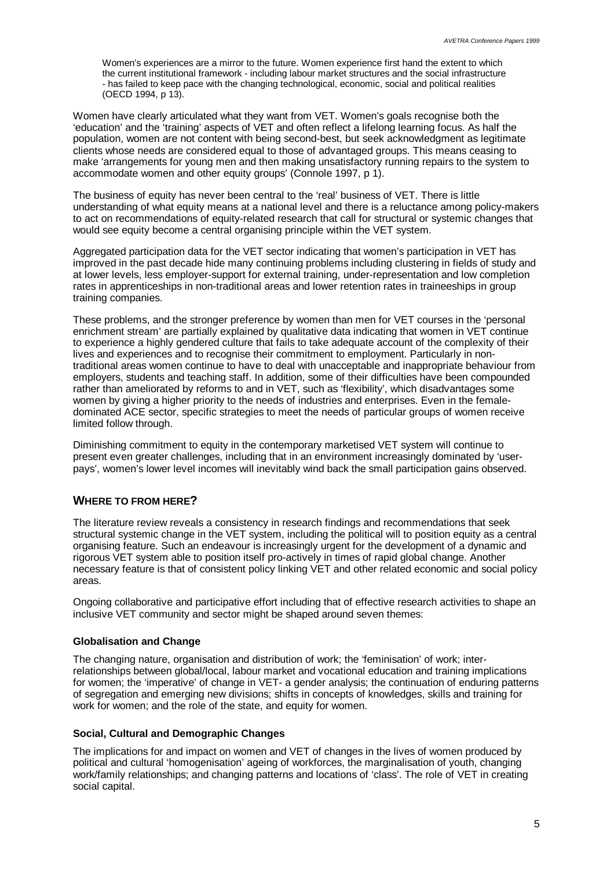Women's experiences are a mirror to the future. Women experience first hand the extent to which the current institutional framework - including labour market structures and the social infrastructure - has failed to keep pace with the changing technological, economic, social and political realities (OECD 1994, p 13).

Women have clearly articulated what they want from VET. Women's goals recognise both the 'education' and the 'training' aspects of VET and often reflect a lifelong learning focus. As half the population, women are not content with being second-best, but seek acknowledgment as legitimate clients whose needs are considered equal to those of advantaged groups. This means ceasing to make 'arrangements for young men and then making unsatisfactory running repairs to the system to accommodate women and other equity groups' (Connole 1997, p 1).

The business of equity has never been central to the 'real' business of VET. There is little understanding of what equity means at a national level and there is a reluctance among policy-makers to act on recommendations of equity-related research that call for structural or systemic changes that would see equity become a central organising principle within the VET system.

Aggregated participation data for the VET sector indicating that women's participation in VET has improved in the past decade hide many continuing problems including clustering in fields of study and at lower levels, less employer-support for external training, under-representation and low completion rates in apprenticeships in non-traditional areas and lower retention rates in traineeships in group training companies.

These problems, and the stronger preference by women than men for VET courses in the 'personal enrichment stream' are partially explained by qualitative data indicating that women in VET continue to experience a highly gendered culture that fails to take adequate account of the complexity of their lives and experiences and to recognise their commitment to employment. Particularly in nontraditional areas women continue to have to deal with unacceptable and inappropriate behaviour from employers, students and teaching staff. In addition, some of their difficulties have been compounded rather than ameliorated by reforms to and in VET, such as 'flexibility', which disadvantages some women by giving a higher priority to the needs of industries and enterprises. Even in the femaledominated ACE sector, specific strategies to meet the needs of particular groups of women receive limited follow through.

Diminishing commitment to equity in the contemporary marketised VET system will continue to present even greater challenges, including that in an environment increasingly dominated by 'userpays', women's lower level incomes will inevitably wind back the small participation gains observed.

# **WHERE TO FROM HERE?**

The literature review reveals a consistency in research findings and recommendations that seek structural systemic change in the VET system, including the political will to position equity as a central organising feature. Such an endeavour is increasingly urgent for the development of a dynamic and rigorous VET system able to position itself pro-actively in times of rapid global change. Another necessary feature is that of consistent policy linking VET and other related economic and social policy areas.

Ongoing collaborative and participative effort including that of effective research activities to shape an inclusive VET community and sector might be shaped around seven themes:

# **Globalisation and Change**

The changing nature, organisation and distribution of work; the 'feminisation' of work; interrelationships between global/local, labour market and vocational education and training implications for women; the 'imperative' of change in VET- a gender analysis; the continuation of enduring patterns of segregation and emerging new divisions; shifts in concepts of knowledges, skills and training for work for women; and the role of the state, and equity for women.

#### **Social, Cultural and Demographic Changes**

The implications for and impact on women and VET of changes in the lives of women produced by political and cultural 'homogenisation' ageing of workforces, the marginalisation of youth, changing work/family relationships; and changing patterns and locations of 'class'. The role of VET in creating social capital.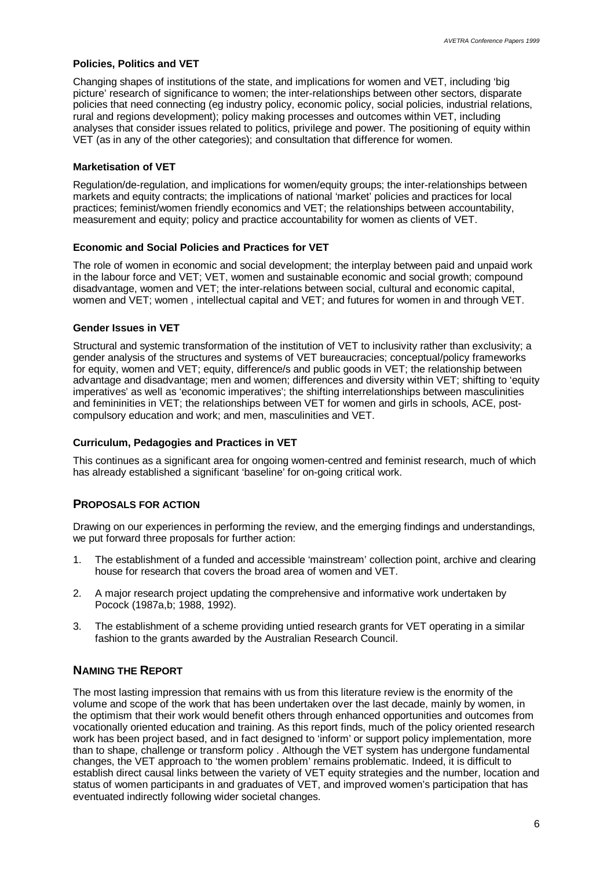#### **Policies, Politics and VET**

Changing shapes of institutions of the state, and implications for women and VET, including 'big picture' research of significance to women; the inter-relationships between other sectors, disparate policies that need connecting (eg industry policy, economic policy, social policies, industrial relations, rural and regions development); policy making processes and outcomes within VET, including analyses that consider issues related to politics, privilege and power. The positioning of equity within VET (as in any of the other categories); and consultation that difference for women.

#### **Marketisation of VET**

Regulation/de-regulation, and implications for women/equity groups; the inter-relationships between markets and equity contracts; the implications of national 'market' policies and practices for local practices; feminist/women friendly economics and VET; the relationships between accountability, measurement and equity; policy and practice accountability for women as clients of VET.

#### **Economic and Social Policies and Practices for VET**

The role of women in economic and social development; the interplay between paid and unpaid work in the labour force and VET; VET, women and sustainable economic and social growth; compound disadvantage, women and VET; the inter-relations between social, cultural and economic capital, women and VET; women , intellectual capital and VET; and futures for women in and through VET.

#### **Gender Issues in VET**

Structural and systemic transformation of the institution of VET to inclusivity rather than exclusivity; a gender analysis of the structures and systems of VET bureaucracies; conceptual/policy frameworks for equity, women and VET; equity, difference/s and public goods in VET; the relationship between advantage and disadvantage; men and women; differences and diversity within VET; shifting to 'equity imperatives' as well as 'economic imperatives'; the shifting interrelationships between masculinities and femininities in VET; the relationships between VET for women and girls in schools, ACE, postcompulsory education and work; and men, masculinities and VET.

#### **Curriculum, Pedagogies and Practices in VET**

This continues as a significant area for ongoing women-centred and feminist research, much of which has already established a significant 'baseline' for on-going critical work.

### **PROPOSALS FOR ACTION**

Drawing on our experiences in performing the review, and the emerging findings and understandings, we put forward three proposals for further action:

- 1. The establishment of a funded and accessible 'mainstream' collection point, archive and clearing house for research that covers the broad area of women and VET.
- 2. A major research project updating the comprehensive and informative work undertaken by Pocock (1987a,b; 1988, 1992).
- 3. The establishment of a scheme providing untied research grants for VET operating in a similar fashion to the grants awarded by the Australian Research Council.

#### **NAMING THE REPORT**

The most lasting impression that remains with us from this literature review is the enormity of the volume and scope of the work that has been undertaken over the last decade, mainly by women, in the optimism that their work would benefit others through enhanced opportunities and outcomes from vocationally oriented education and training. As this report finds, much of the policy oriented research work has been project based, and in fact designed to 'inform' or support policy implementation, more than to shape, challenge or transform policy . Although the VET system has undergone fundamental changes, the VET approach to 'the women problem' remains problematic. Indeed, it is difficult to establish direct causal links between the variety of VET equity strategies and the number, location and status of women participants in and graduates of VET, and improved women's participation that has eventuated indirectly following wider societal changes.